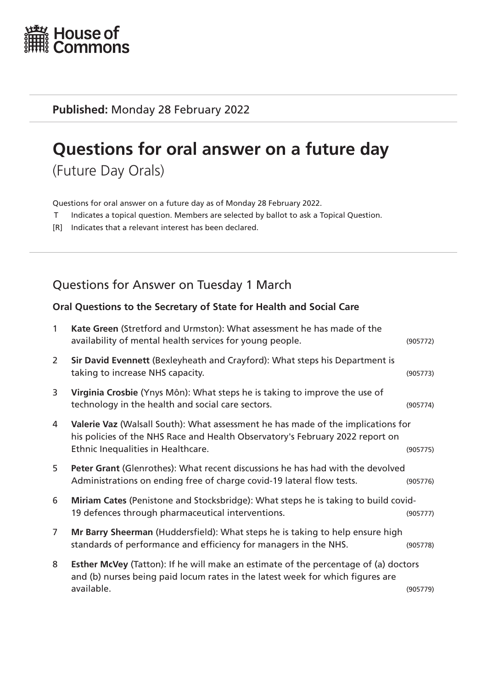

**Published:** Monday 28 February 2022

# **Questions for oral answer on a future day**

(Future Day Orals)

Questions for oral answer on a future day as of Monday 28 February 2022.

- T Indicates a topical question. Members are selected by ballot to ask a Topical Question.
- [R] Indicates that a relevant interest has been declared.

# Questions for Answer on Tuesday 1 March

#### **Oral Questions to the Secretary of State for Health and Social Care**

| $\mathbf{1}$   | Kate Green (Stretford and Urmston): What assessment he has made of the<br>availability of mental health services for young people.                                                                      | (905772) |
|----------------|---------------------------------------------------------------------------------------------------------------------------------------------------------------------------------------------------------|----------|
| 2              | Sir David Evennett (Bexleyheath and Crayford): What steps his Department is<br>taking to increase NHS capacity.                                                                                         | (905773) |
| 3              | Virginia Crosbie (Ynys Môn): What steps he is taking to improve the use of<br>technology in the health and social care sectors.                                                                         | (905774) |
| 4              | Valerie Vaz (Walsall South): What assessment he has made of the implications for<br>his policies of the NHS Race and Health Observatory's February 2022 report on<br>Ethnic Inequalities in Healthcare. | (905775) |
| 5              | Peter Grant (Glenrothes): What recent discussions he has had with the devolved<br>Administrations on ending free of charge covid-19 lateral flow tests.                                                 | (905776) |
| 6              | Miriam Cates (Penistone and Stocksbridge): What steps he is taking to build covid-<br>19 defences through pharmaceutical interventions.                                                                 | (905777) |
| $\overline{7}$ | Mr Barry Sheerman (Huddersfield): What steps he is taking to help ensure high<br>standards of performance and efficiency for managers in the NHS.                                                       | (905778) |
| 8              | <b>Esther McVey</b> (Tatton): If he will make an estimate of the percentage of (a) doctors<br>and (b) nurses being paid locum rates in the latest week for which figures are<br>available.              | (905779) |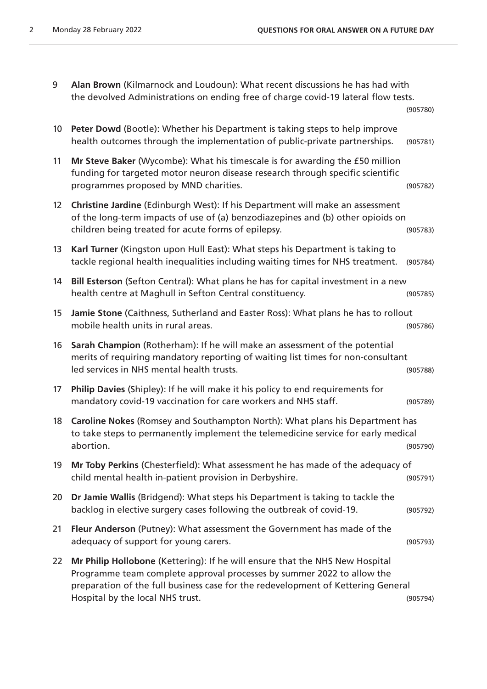| Alan Brown (Kilmarnock and Loudoun): What recent discussions he has had with       |
|------------------------------------------------------------------------------------|
| the devolved Administrations on ending free of charge covid-19 lateral flow tests. |
| (905780)                                                                           |

| 10 | Peter Dowd (Bootle): Whether his Department is taking steps to help improve<br>health outcomes through the implementation of public-private partnerships.                                                                                                                      | (905781) |
|----|--------------------------------------------------------------------------------------------------------------------------------------------------------------------------------------------------------------------------------------------------------------------------------|----------|
| 11 | Mr Steve Baker (Wycombe): What his timescale is for awarding the £50 million<br>funding for targeted motor neuron disease research through specific scientific<br>programmes proposed by MND charities.                                                                        | (905782) |
| 12 | Christine Jardine (Edinburgh West): If his Department will make an assessment<br>of the long-term impacts of use of (a) benzodiazepines and (b) other opioids on<br>children being treated for acute forms of epilepsy.                                                        | (905783) |
| 13 | Karl Turner (Kingston upon Hull East): What steps his Department is taking to<br>tackle regional health inequalities including waiting times for NHS treatment.                                                                                                                | (905784) |
| 14 | Bill Esterson (Sefton Central): What plans he has for capital investment in a new<br>health centre at Maghull in Sefton Central constituency.                                                                                                                                  | (905785) |
| 15 | Jamie Stone (Caithness, Sutherland and Easter Ross): What plans he has to rollout<br>mobile health units in rural areas.                                                                                                                                                       | (905786) |
| 16 | Sarah Champion (Rotherham): If he will make an assessment of the potential<br>merits of requiring mandatory reporting of waiting list times for non-consultant<br>led services in NHS mental health trusts.                                                                    | (905788) |
| 17 | Philip Davies (Shipley): If he will make it his policy to end requirements for<br>mandatory covid-19 vaccination for care workers and NHS staff.                                                                                                                               | (905789) |
| 18 | Caroline Nokes (Romsey and Southampton North): What plans his Department has<br>to take steps to permanently implement the telemedicine service for early medical<br>abortion.                                                                                                 | (905790) |
| 19 | Mr Toby Perkins (Chesterfield): What assessment he has made of the adequacy of<br>child mental health in-patient provision in Derbyshire.                                                                                                                                      | (905791) |
| 20 | Dr Jamie Wallis (Bridgend): What steps his Department is taking to tackle the<br>backlog in elective surgery cases following the outbreak of covid-19.                                                                                                                         | (905792) |
| 21 | Fleur Anderson (Putney): What assessment the Government has made of the<br>adequacy of support for young carers.                                                                                                                                                               | (905793) |
| 22 | Mr Philip Hollobone (Kettering): If he will ensure that the NHS New Hospital<br>Programme team complete approval processes by summer 2022 to allow the<br>preparation of the full business case for the redevelopment of Kettering General<br>Hospital by the local NHS trust. | (905794) |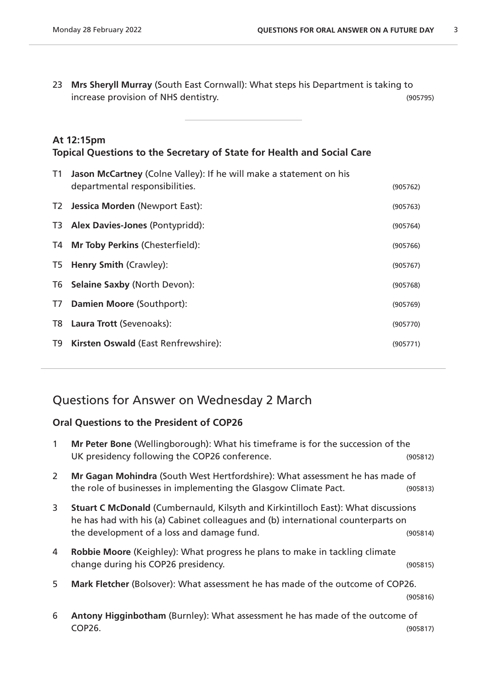23 **Mrs Sheryll Murray** (South East Cornwall): What steps his Department is taking to increase provision of NHS dentistry. (905795)

### **At 12:15pm Topical Questions to the Secretary of State for Health and Social Care**

| T1 | <b>Jason McCartney</b> (Colne Valley): If he will make a statement on his<br>departmental responsibilities. | (905762) |
|----|-------------------------------------------------------------------------------------------------------------|----------|
|    | T2 Jessica Morden (Newport East):                                                                           | (905763) |
|    | T3 Alex Davies-Jones (Pontypridd):                                                                          | (905764) |
| T4 | <b>Mr Toby Perkins (Chesterfield):</b>                                                                      | (905766) |
| T5 | <b>Henry Smith (Crawley):</b>                                                                               | (905767) |
| T6 | <b>Selaine Saxby (North Devon):</b>                                                                         | (905768) |
| T7 | <b>Damien Moore (Southport):</b>                                                                            | (905769) |
| T8 | Laura Trott (Sevenoaks):                                                                                    | (905770) |
| T9 | Kirsten Oswald (East Renfrewshire):                                                                         | (905771) |
|    |                                                                                                             |          |

# Questions for Answer on Wednesday 2 March

#### **Oral Questions to the President of COP26**

| $\mathbf{1}$ | Mr Peter Bone (Wellingborough): What his timeframe is for the succession of the<br>UK presidency following the COP26 conference.                                                                                           | (905812) |
|--------------|----------------------------------------------------------------------------------------------------------------------------------------------------------------------------------------------------------------------------|----------|
| 2            | Mr Gagan Mohindra (South West Hertfordshire): What assessment he has made of<br>the role of businesses in implementing the Glasgow Climate Pact.                                                                           | (905813) |
| 3            | <b>Stuart C McDonald (Cumbernauld, Kilsyth and Kirkintilloch East): What discussions</b><br>he has had with his (a) Cabinet colleagues and (b) international counterparts on<br>the development of a loss and damage fund. | (905814) |
| 4            | Robbie Moore (Keighley): What progress he plans to make in tackling climate<br>change during his COP26 presidency.                                                                                                         | (905815) |
| 5            | Mark Fletcher (Bolsover): What assessment he has made of the outcome of COP26.                                                                                                                                             | (905816) |
| 6            | Antony Higginbotham (Burnley): What assessment he has made of the outcome of                                                                                                                                               |          |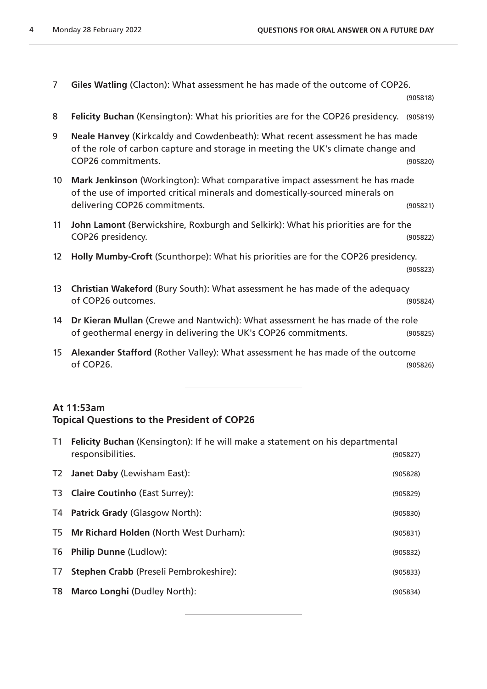7 **Giles Watling** (Clacton): What assessment he has made of the outcome of COP26.

(905818)

- 8 **Felicity Buchan** (Kensington): What his priorities are for the COP26 presidency. (905819)
- 9 **Neale Hanvey** (Kirkcaldy and Cowdenbeath): What recent assessment he has made of the role of carbon capture and storage in meeting the UK's climate change and COP26 commitments. (905820)
- 10 **Mark Jenkinson** (Workington): What comparative impact assessment he has made of the use of imported critical minerals and domestically-sourced minerals on delivering COP26 commitments. (905821)
- 11 **John Lamont** (Berwickshire, Roxburgh and Selkirk): What his priorities are for the COP26 presidency. (905822)
- 12 **Holly Mumby-Croft** (Scunthorpe): What his priorities are for the COP26 presidency. (905823)
- 13 **Christian Wakeford** (Bury South): What assessment he has made of the adequacy of COP26 outcomes. (905824)
- 14 **Dr Kieran Mullan** (Crewe and Nantwich): What assessment he has made of the role of geothermal energy in delivering the UK's COP26 commitments. (905825)
- 15 **Alexander Stafford** (Rother Valley): What assessment he has made of the outcome of COP26. (905826)

### **At 11:53am Topical Questions to the President of COP26**

| T1 | Felicity Buchan (Kensington): If he will make a statement on his departmental<br>responsibilities. | (905827) |
|----|----------------------------------------------------------------------------------------------------|----------|
| T2 | <b>Janet Daby (Lewisham East):</b>                                                                 | (905828) |
|    | T3 Claire Coutinho (East Surrey):                                                                  | (905829) |
|    | T4 Patrick Grady (Glasgow North):                                                                  | (905830) |
|    | T5 Mr Richard Holden (North West Durham):                                                          | (905831) |
| T6 | <b>Philip Dunne (Ludlow):</b>                                                                      | (905832) |
| T7 | <b>Stephen Crabb (Preseli Pembrokeshire):</b>                                                      | (905833) |
| T8 | <b>Marco Longhi (Dudley North):</b>                                                                | (905834) |
|    |                                                                                                    |          |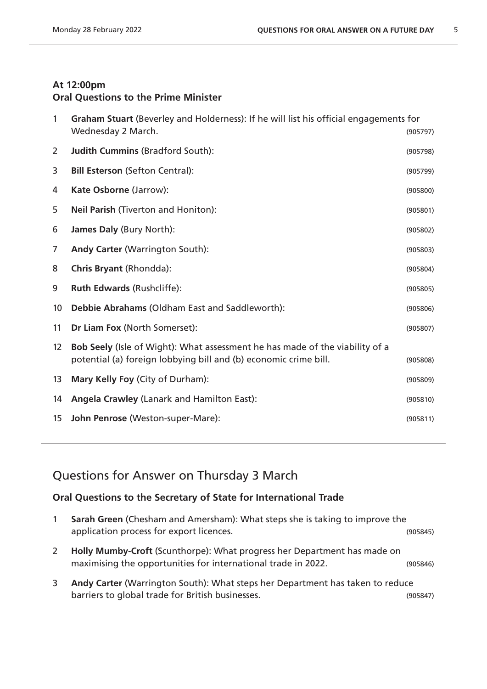### **At 12:00pm Oral Questions to the Prime Minister**

| Wednesday 2 March.                                                                                                                               | (905797)                                                                              |
|--------------------------------------------------------------------------------------------------------------------------------------------------|---------------------------------------------------------------------------------------|
| <b>Judith Cummins (Bradford South):</b>                                                                                                          | (905798)                                                                              |
| <b>Bill Esterson (Sefton Central):</b>                                                                                                           | (905799)                                                                              |
| Kate Osborne (Jarrow):                                                                                                                           | (905800)                                                                              |
| Neil Parish (Tiverton and Honiton):                                                                                                              | (905801)                                                                              |
| James Daly (Bury North):                                                                                                                         | (905802)                                                                              |
| Andy Carter (Warrington South):                                                                                                                  | (905803)                                                                              |
| <b>Chris Bryant (Rhondda):</b>                                                                                                                   | (905804)                                                                              |
| <b>Ruth Edwards (Rushcliffe):</b>                                                                                                                | (905805)                                                                              |
| Debbie Abrahams (Oldham East and Saddleworth):                                                                                                   | (905806)                                                                              |
| Dr Liam Fox (North Somerset):                                                                                                                    | (905807)                                                                              |
| Bob Seely (Isle of Wight): What assessment he has made of the viability of a<br>potential (a) foreign lobbying bill and (b) economic crime bill. | (905808)                                                                              |
| Mary Kelly Foy (City of Durham):                                                                                                                 | (905809)                                                                              |
| <b>Angela Crawley (Lanark and Hamilton East):</b>                                                                                                | (905810)                                                                              |
| John Penrose (Weston-super-Mare):                                                                                                                | (905811)                                                                              |
|                                                                                                                                                  | Graham Stuart (Beverley and Holderness): If he will list his official engagements for |

# Questions for Answer on Thursday 3 March

### **Oral Questions to the Secretary of State for International Trade**

| Sarah Green (Chesham and Amersham): What steps she is taking to improve the |          |
|-----------------------------------------------------------------------------|----------|
| application process for export licences.                                    | (905845) |

- **Holly Mumby-Croft** (Scunthorpe): What progress her Department has made on maximising the opportunities for international trade in 2022. (905846)
- **Andy Carter** (Warrington South): What steps her Department has taken to reduce barriers to global trade for British businesses. (905847)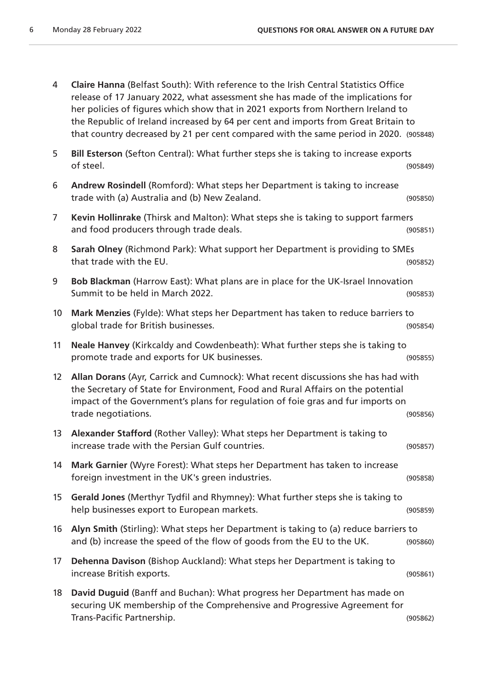| 4                 | Claire Hanna (Belfast South): With reference to the Irish Central Statistics Office<br>release of 17 January 2022, what assessment she has made of the implications for<br>her policies of figures which show that in 2021 exports from Northern Ireland to<br>the Republic of Ireland increased by 64 per cent and imports from Great Britain to<br>that country decreased by 21 per cent compared with the same period in 2020. (905848) |          |
|-------------------|--------------------------------------------------------------------------------------------------------------------------------------------------------------------------------------------------------------------------------------------------------------------------------------------------------------------------------------------------------------------------------------------------------------------------------------------|----------|
| 5                 | Bill Esterson (Sefton Central): What further steps she is taking to increase exports<br>of steel.                                                                                                                                                                                                                                                                                                                                          | (905849) |
| 6                 | Andrew Rosindell (Romford): What steps her Department is taking to increase<br>trade with (a) Australia and (b) New Zealand.                                                                                                                                                                                                                                                                                                               | (905850) |
| 7                 | Kevin Hollinrake (Thirsk and Malton): What steps she is taking to support farmers<br>and food producers through trade deals.                                                                                                                                                                                                                                                                                                               | (905851) |
| 8                 | Sarah Olney (Richmond Park): What support her Department is providing to SMEs<br>that trade with the EU.                                                                                                                                                                                                                                                                                                                                   | (905852) |
| 9                 | Bob Blackman (Harrow East): What plans are in place for the UK-Israel Innovation<br>Summit to be held in March 2022.                                                                                                                                                                                                                                                                                                                       | (905853) |
| 10                | Mark Menzies (Fylde): What steps her Department has taken to reduce barriers to<br>global trade for British businesses.                                                                                                                                                                                                                                                                                                                    | (905854) |
| 11                | Neale Hanvey (Kirkcaldy and Cowdenbeath): What further steps she is taking to<br>promote trade and exports for UK businesses.                                                                                                                                                                                                                                                                                                              | (905855) |
| $12 \overline{ }$ | Allan Dorans (Ayr, Carrick and Cumnock): What recent discussions she has had with<br>the Secretary of State for Environment, Food and Rural Affairs on the potential<br>impact of the Government's plans for regulation of foie gras and fur imports on<br>trade negotiations.                                                                                                                                                             | (905856) |
| 13                | Alexander Stafford (Rother Valley): What steps her Department is taking to<br>increase trade with the Persian Gulf countries.                                                                                                                                                                                                                                                                                                              | (905857) |
| 14                | Mark Garnier (Wyre Forest): What steps her Department has taken to increase<br>foreign investment in the UK's green industries.                                                                                                                                                                                                                                                                                                            | (905858) |
| 15                | Gerald Jones (Merthyr Tydfil and Rhymney): What further steps she is taking to<br>help businesses export to European markets.                                                                                                                                                                                                                                                                                                              | (905859) |
| 16                | Alyn Smith (Stirling): What steps her Department is taking to (a) reduce barriers to<br>and (b) increase the speed of the flow of goods from the EU to the UK.                                                                                                                                                                                                                                                                             | (905860) |
| 17                | Dehenna Davison (Bishop Auckland): What steps her Department is taking to<br>increase British exports.                                                                                                                                                                                                                                                                                                                                     | (905861) |
| 18                | David Duguid (Banff and Buchan): What progress her Department has made on<br>securing UK membership of the Comprehensive and Progressive Agreement for<br>Trans-Pacific Partnership.                                                                                                                                                                                                                                                       | (905862) |